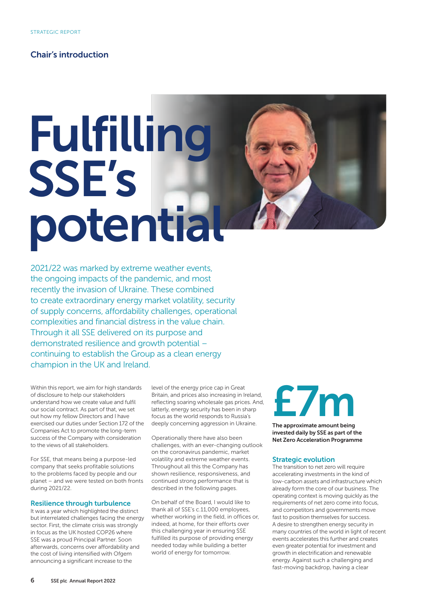### Chair's introduction

## Fulfilling SSE's potential

2021/22 was marked by extreme weather events, the ongoing impacts of the pandemic, and most recently the invasion of Ukraine. These combined to create extraordinary energy market volatility, security of supply concerns, affordability challenges, operational complexities and financial distress in the value chain. Through it all SSE delivered on its purpose and demonstrated resilience and growth potential – continuing to establish the Group as a clean energy champion in the UK and Ireland.

Within this report, we aim for high standards of disclosure to help our stakeholders understand how we create value and fulfil our social contract. As part of that, we set out how my fellow Directors and I have exercised our duties under Section 172 of the Companies Act to promote the long-term success of the Company with consideration to the views of all stakeholders.

For SSE, that means being a purpose-led company that seeks profitable solutions to the problems faced by people and our planet – and we were tested on both fronts during 2021/22.

### Resilience through turbulence

It was a year which highlighted the distinct but interrelated challenges facing the energy sector. First, the climate crisis was strongly in focus as the UK hosted COP26 where SSE was a proud Principal Partner. Soon afterwards, concerns over affordability and the cost of living intensified with Ofgem announcing a significant increase to the

level of the energy price cap in Great Britain, and prices also increasing in Ireland, reflecting soaring wholesale gas prices. And, latterly, energy security has been in sharp focus as the world responds to Russia's deeply concerning aggression in Ukraine.

Operationally there have also been challenges, with an ever-changing outlook on the coronavirus pandemic, market volatility and extreme weather events. Throughout all this the Company has shown resilience, responsiveness, and continued strong performance that is described in the following pages.

On behalf of the Board, I would like to thank all of SSE's c.11,000 employees, whether working in the field, in offices or, indeed, at home, for their efforts over this challenging year in ensuring SSE fulfilled its purpose of providing energy needed today while building a better world of energy for tomorrow.

### £7m

The approximate amount being invested daily by SSE as part of the Net Zero Acceleration Programme

### Strategic evolution

The transition to net zero will require accelerating investments in the kind of low-carbon assets and infrastructure which already form the core of our business. The operating context is moving quickly as the requirements of net zero come into focus, and competitors and governments move fast to position themselves for success. A desire to strengthen energy security in many countries of the world in light of recent events accelerates this further and creates even greater potential for investment and growth in electrification and renewable energy. Against such a challenging and fast-moving backdrop, having a clear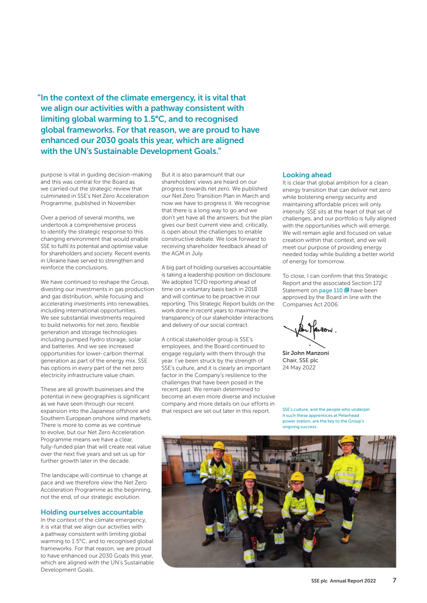"In the context of the climate emergency, it is vital that we align our activities with a pathway consistent with limiting global warming to 1.5°C, and to recognised global frameworks. For that reason, we are proud to have enhanced our 2030 goals this year, which are aligned with the UN's Sustainable Development Goals."

purpose is vital in guiding decision-making and this was central for the Board as we carried out the strategic review that culminated in SSE's Net Zero Acceleration Programme, published in November.

Over a period of several months, we undertook a comprehensive process to identify the strategic response to this changing environment that would enable SSE to fulfil its potential and optimise value for shareholders and society. Recent events in Ukraine have served to strengthen and reinforce the conclusions.

We have continued to reshape the Group, divesting our investments in gas production and gas distribution, while focusing and accelerating investments into renewables, including international opportunities. We see substantial investments required to build networks for net zero, flexible generation and storage technologies including pumped hydro storage, solar and batteries. And we see increased opportunities for lower-carbon thermal generation as part of the energy mix. SSE has options in every part of the net zero electricity infrastructure value chain.

These are all growth businesses and the potential in new geographies is significant as we have seen through our recent expansion into the Japanese offshore and Southern European onshore wind markets. There is more to come as we continue to evolve, but our Net Zero Acceleration Programme means we have a clear, fully-funded plan that will create real value over the next five years and set us up for further growth later in the decade.

The landscape will continue to change at pace and we therefore view the Net Zero Acceleration Programme as the beginning, not the end, of our strategic evolution.

### Holding ourselves accountable

In the context of the climate emergency, it is vital that we align our activities with a pathway consistent with limiting global warming to 1.5°C, and to recognised global frameworks. For that reason, we are proud to have enhanced our 2030 Goals this year, which are aligned with the UN's Sustainable Development Goals.

But it is also paramount that our shareholders' views are heard on our progress towards net zero. We published our Net Zero Transition Plan in March and now we have to progress it. We recognise that there is a long way to go and we don't yet have all the answers; but the plan gives our best current view and, critically, is open about the challenges to enable constructive debate. We look forward to receiving shareholder feedback ahead of the AGM in July.

A big part of holding ourselves accountable is taking a leadership position on disclosure. We adopted TCFD reporting ahead of time on a voluntary basis back in 2018 and will continue to be proactive in our reporting. This Strategic Report builds on the work done in recent years to maximise the transparency of our stakeholder interactions and delivery of our social contract.

A critical stakeholder group is SSE's employees, and the Board continued to engage regularly with them through the year. I've been struck by the strength of SSE's culture, and it is clearly an important factor in the Company's resilience to the challenges that have been posed in the recent past. We remain determined to become an even more diverse and inclusive company and more details on our efforts in that respect are set out later in this report.

### Looking ahead

It is clear that global ambition for a clean energy transition that can deliver net zero while bolstering energy security and maintaining affordable prices will only intensify. SSE sits at the heart of that set of challenges, and our portfolio is fully aligned with the opportunities which will emerge. We will remain agile and focused on value creation within that context, and we will meet our purpose of providing energy needed today while building a better world of energy for tomorrow.

To close, I can confirm that this Strategic Report and the associated Section 172 Statement on page 110 **B** have been approved by the Board in line with the Companies Act 2006.

Sir John Manzoni Chair, SSE plc 24 May 2022

SSE's culture, and the people who underpin it such these apprentices at Peterhead power station, are the key to the Group's ongoing success.

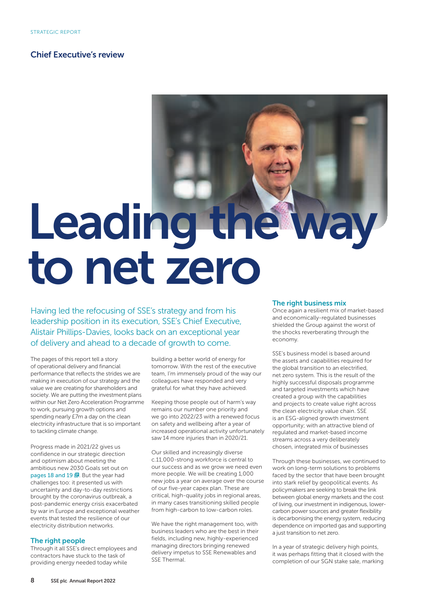### Chief Executive's review

# Leading the way to net zero

Having led the refocusing of SSE's strategy and from his leadership position in its execution, SSE's Chief Executive, Alistair Phillips-Davies, looks back on an exceptional year of delivery and ahead to a decade of growth to come.

The pages of this report tell a story of operational delivery and financial performance that reflects the strides we are making in execution of our strategy and the value we are creating for shareholders and society. We are putting the investment plans within our Net Zero Acceleration Programme to work, pursuing growth options and spending nearly £7m a day on the clean electricity infrastructure that is so important to tackling climate change.

Progress made in 2021/22 gives us confidence in our strategic direction and optimism about meeting the ambitious new 2030 Goals set out on pages 18 and 19 $E$ . But the year had challenges too: it presented us with uncertainty and day-to-day restrictions brought by the coronavirus outbreak, a post-pandemic energy crisis exacerbated by war in Europe and exceptional weather events that tested the resilience of our electricity distribution networks.

### The right people

Through it all SSE's direct employees and contractors have stuck to the task of providing energy needed today while

building a better world of energy for tomorrow. With the rest of the executive team, I'm immensely proud of the way our colleagues have responded and very grateful for what they have achieved.

Keeping those people out of harm's way remains our number one priority and we go into 2022/23 with a renewed focus on safety and wellbeing after a year of increased operational activity unfortunately saw 14 more injuries than in 2020/21.

Our skilled and increasingly diverse c.11,000-strong workforce is central to our success and as we grow we need even more people. We will be creating 1,000 new jobs a year on average over the course of our five-year capex plan. These are critical, high-quality jobs in regional areas, in many cases transitioning skilled people from high-carbon to low-carbon roles.

We have the right management too, with business leaders who are the best in their fields, including new, highly-experienced managing directors bringing renewed delivery impetus to SSE Renewables and SSE Thermal.

### The right business mix

Once again a resilient mix of market-based and economically-regulated businesses shielded the Group against the worst of the shocks reverberating through the economy.

SSE's business model is based around the assets and capabilities required for the global transition to an electrified, net zero system. This is the result of the highly successful disposals programme and targeted investments which have created a group with the capabilities and projects to create value right across the clean electricity value chain. SSE is an ESG-aligned growth investment opportunity; with an attractive blend of regulated and market-based income streams across a very deliberately chosen, integrated mix of businesses

Through these businesses, we continued to work on long-term solutions to problems faced by the sector that have been brought into stark relief by geopolitical events. As policymakers are seeking to break the link between global energy markets and the cost of living, our investment in indigenous, lowercarbon power sources and greater flexibility is decarbonising the energy system, reducing dependence on imported gas and supporting a just transition to net zero.

In a year of strategic delivery high points, it was perhaps fitting that it closed with the completion of our SGN stake sale, marking